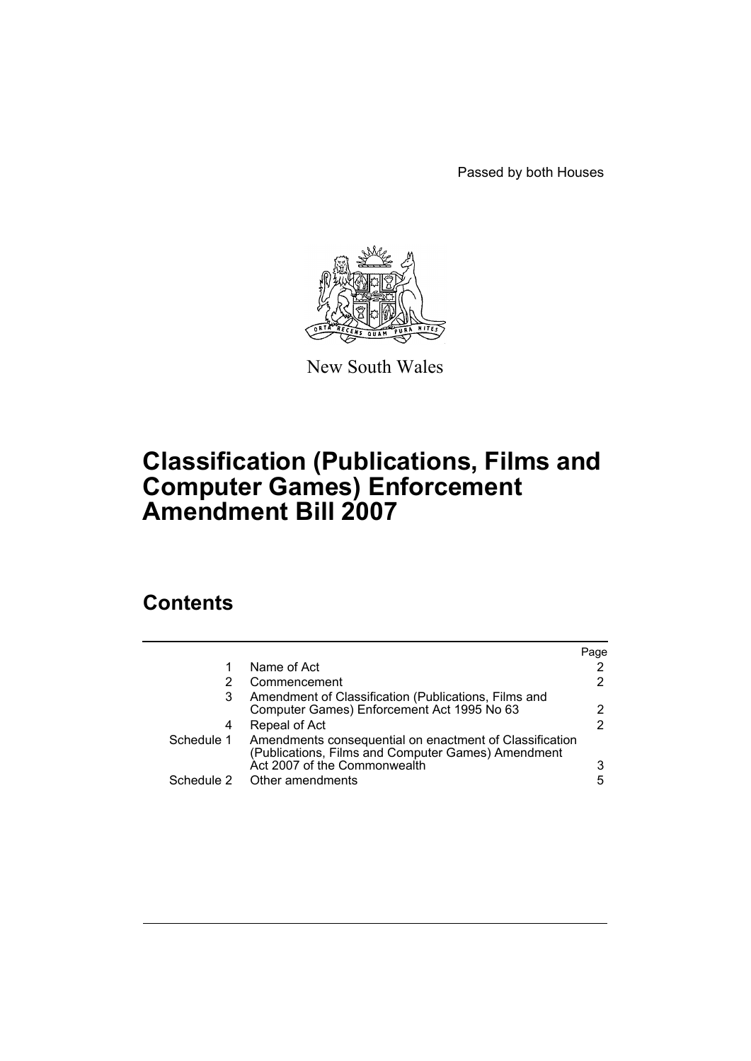Passed by both Houses



New South Wales

# **Classification (Publications, Films and Computer Games) Enforcement Amendment Bill 2007**

# **Contents**

|            |                                                                                                                                               | Page                  |
|------------|-----------------------------------------------------------------------------------------------------------------------------------------------|-----------------------|
| 1          | Name of Act                                                                                                                                   | 2                     |
|            | Commencement                                                                                                                                  | $\mathbf{2}^{\prime}$ |
| 3          | Amendment of Classification (Publications, Films and<br>Computer Games) Enforcement Act 1995 No 63                                            | 2                     |
| 4          | Repeal of Act                                                                                                                                 | 2                     |
| Schedule 1 | Amendments consequential on enactment of Classification<br>(Publications, Films and Computer Games) Amendment<br>Act 2007 of the Commonwealth | 3                     |
|            | Schedule 2 Other amendments                                                                                                                   | 5                     |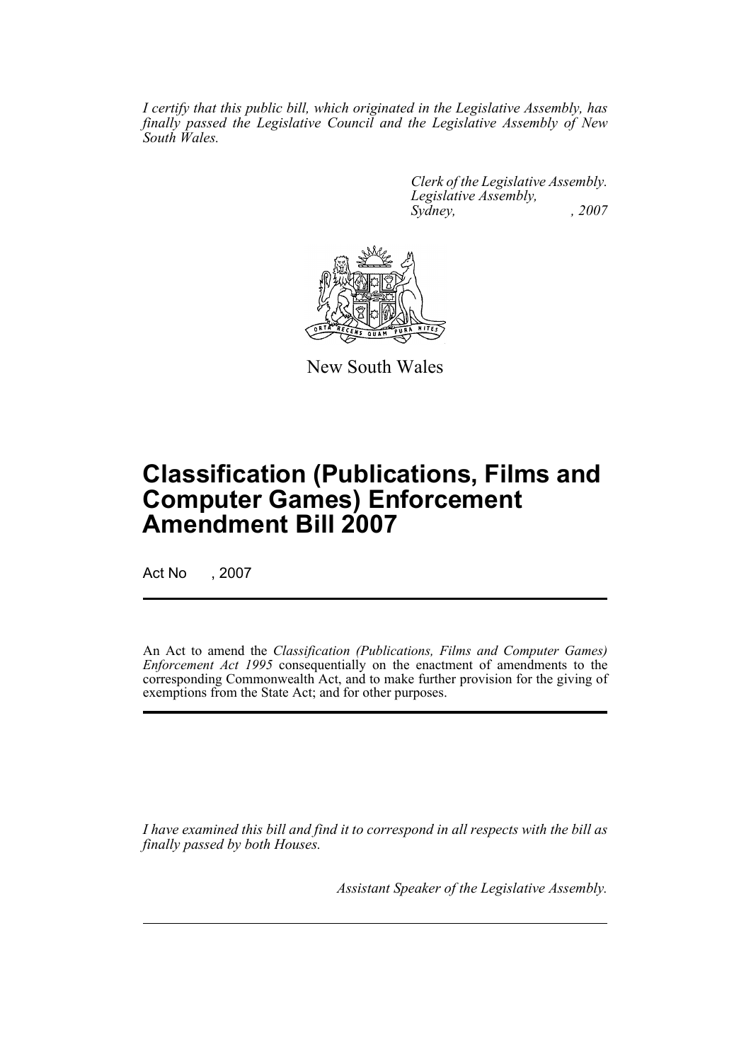*I certify that this public bill, which originated in the Legislative Assembly, has finally passed the Legislative Council and the Legislative Assembly of New South Wales.*

> *Clerk of the Legislative Assembly. Legislative Assembly, Sydney, , 2007*



New South Wales

# **Classification (Publications, Films and Computer Games) Enforcement Amendment Bill 2007**

Act No , 2007

An Act to amend the *Classification (Publications, Films and Computer Games) Enforcement Act 1995* consequentially on the enactment of amendments to the corresponding Commonwealth Act, and to make further provision for the giving of exemptions from the State Act; and for other purposes.

*I have examined this bill and find it to correspond in all respects with the bill as finally passed by both Houses.*

*Assistant Speaker of the Legislative Assembly.*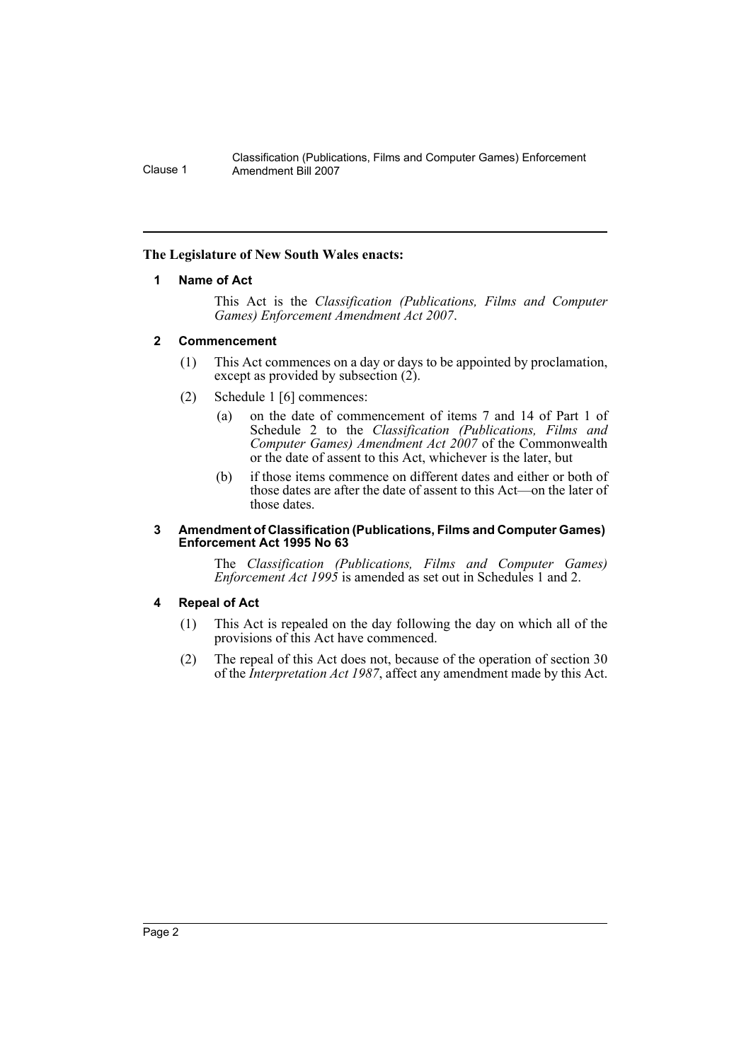## <span id="page-2-0"></span>**The Legislature of New South Wales enacts:**

## **1 Name of Act**

This Act is the *Classification (Publications, Films and Computer Games) Enforcement Amendment Act 2007*.

## <span id="page-2-1"></span>**2 Commencement**

- (1) This Act commences on a day or days to be appointed by proclamation, except as provided by subsection (2).
- (2) Schedule 1 [6] commences:
	- (a) on the date of commencement of items 7 and 14 of Part 1 of Schedule 2 to the *Classification (Publications, Films and Computer Games) Amendment Act 2007* of the Commonwealth or the date of assent to this Act, whichever is the later, but
	- (b) if those items commence on different dates and either or both of those dates are after the date of assent to this Act—on the later of those dates.

#### <span id="page-2-2"></span>**3 Amendment of Classification (Publications, Films and Computer Games) Enforcement Act 1995 No 63**

The *Classification (Publications, Films and Computer Games) Enforcement Act 1995* is amended as set out in Schedules 1 and 2.

## <span id="page-2-3"></span>**4 Repeal of Act**

- (1) This Act is repealed on the day following the day on which all of the provisions of this Act have commenced.
- (2) The repeal of this Act does not, because of the operation of section 30 of the *Interpretation Act 1987*, affect any amendment made by this Act.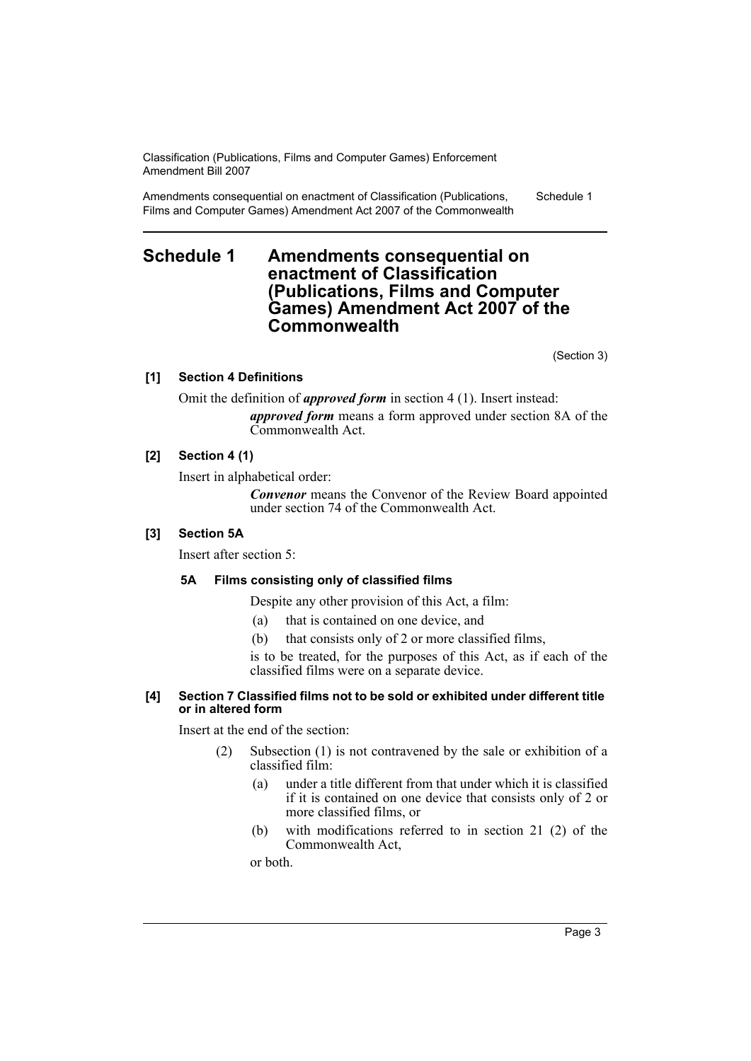Amendments consequential on enactment of Classification (Publications, Films and Computer Games) Amendment Act 2007 of the Commonwealth Schedule 1

# <span id="page-3-0"></span>**Schedule 1 Amendments consequential on enactment of Classification (Publications, Films and Computer Games) Amendment Act 2007 of the Commonwealth**

(Section 3)

# **[1] Section 4 Definitions**

Omit the definition of *approved form* in section 4 (1). Insert instead: *approved form* means a form approved under section 8A of the Commonwealth Act.

# **[2] Section 4 (1)**

Insert in alphabetical order:

*Convenor* means the Convenor of the Review Board appointed under section 74 of the Commonwealth Act.

# **[3] Section 5A**

Insert after section 5:

# **5A Films consisting only of classified films**

Despite any other provision of this Act, a film:

- (a) that is contained on one device, and
- (b) that consists only of 2 or more classified films,

is to be treated, for the purposes of this Act, as if each of the classified films were on a separate device.

## **[4] Section 7 Classified films not to be sold or exhibited under different title or in altered form**

Insert at the end of the section:

- (2) Subsection (1) is not contravened by the sale or exhibition of a classified film:
	- (a) under a title different from that under which it is classified if it is contained on one device that consists only of 2 or more classified films, or
	- (b) with modifications referred to in section 21 (2) of the Commonwealth Act,

or both.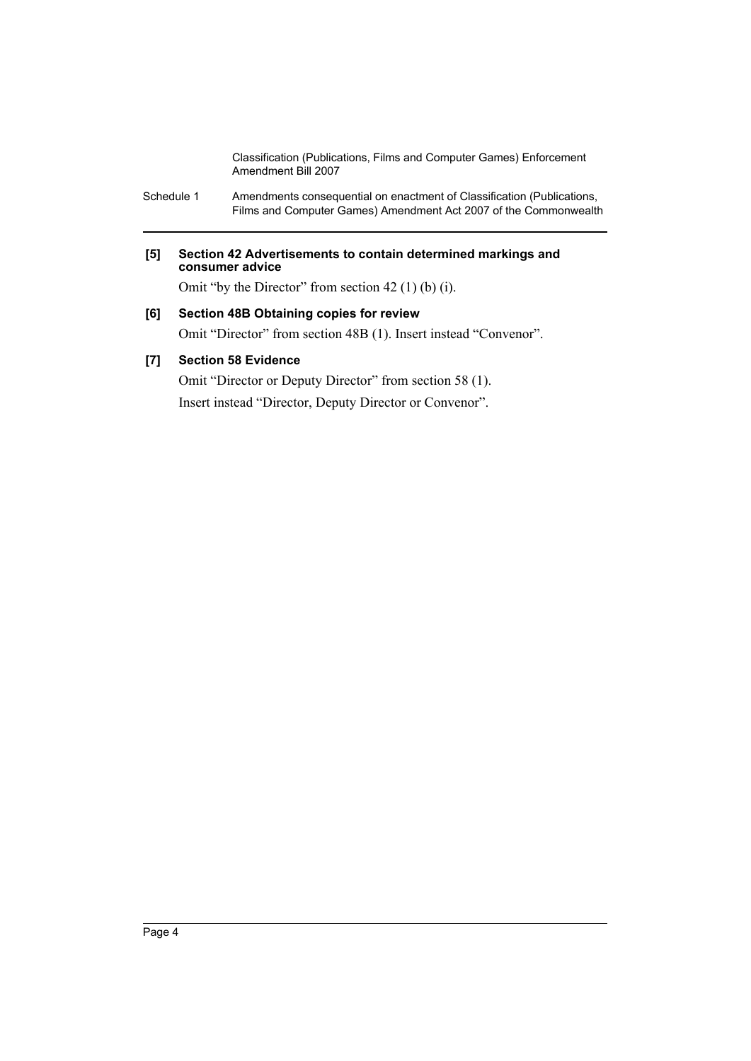Schedule 1 Amendments consequential on enactment of Classification (Publications, Films and Computer Games) Amendment Act 2007 of the Commonwealth

## **[5] Section 42 Advertisements to contain determined markings and consumer advice**

Omit "by the Director" from section 42 (1) (b) (i).

# **[6] Section 48B Obtaining copies for review**

Omit "Director" from section 48B (1). Insert instead "Convenor".

# **[7] Section 58 Evidence**

Omit "Director or Deputy Director" from section 58 (1). Insert instead "Director, Deputy Director or Convenor".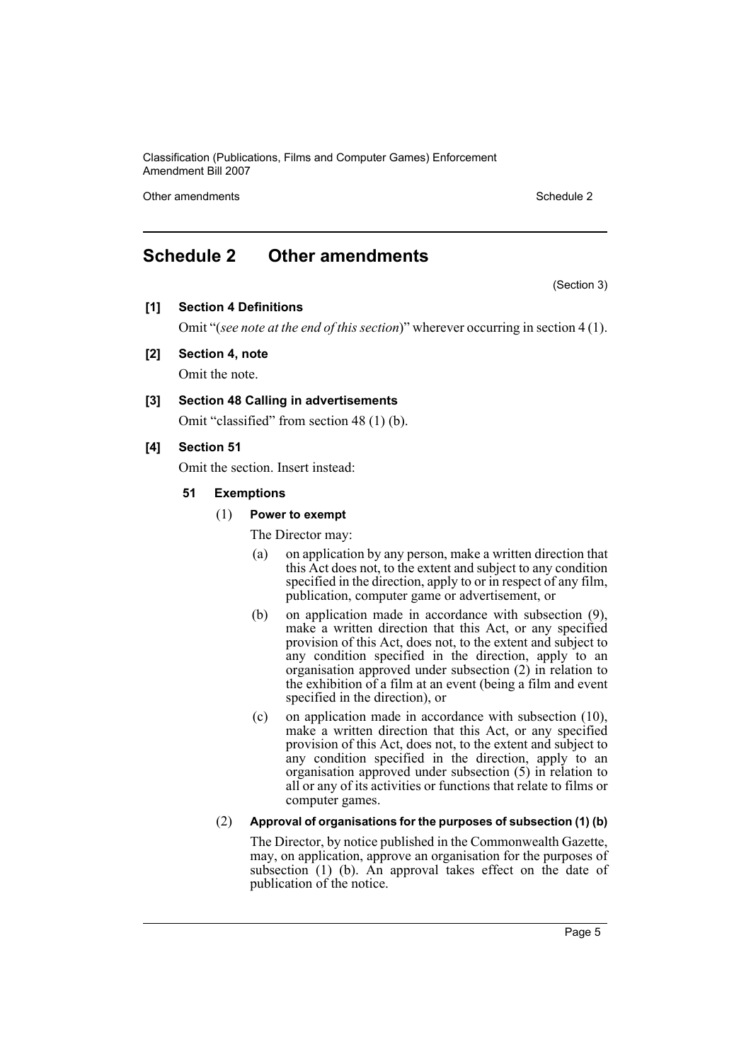Other amendments **Schedule 2** and the 2 state 3 and 2 state 3 and 3 state 3 and 3 state 3 and 3 state 3 and 3 state 3 and 3 state 3 and 3 state 3 and 3 state 3 and 3 state 3 and 3 state 3 and 3 state 3 and 3 state 3 and 3

# <span id="page-5-0"></span>**Schedule 2 Other amendments**

(Section 3)

**[1] Section 4 Definitions**

Omit "(*see note at the end of this section*)" wherever occurring in section 4 (1).

**[2] Section 4, note**

Omit the note.

**[3] Section 48 Calling in advertisements**

Omit "classified" from section 48 (1) (b).

# **[4] Section 51**

Omit the section. Insert instead:

- **51 Exemptions**
	- (1) **Power to exempt**

The Director may:

- (a) on application by any person, make a written direction that this Act does not, to the extent and subject to any condition specified in the direction, apply to or in respect of any film, publication, computer game or advertisement, or
- (b) on application made in accordance with subsection (9), make a written direction that this Act, or any specified provision of this Act, does not, to the extent and subject to any condition specified in the direction, apply to an organisation approved under subsection (2) in relation to the exhibition of a film at an event (being a film and event specified in the direction), or
- (c) on application made in accordance with subsection (10), make a written direction that this Act, or any specified provision of this Act, does not, to the extent and subject to any condition specified in the direction, apply to an organisation approved under subsection (5) in relation to all or any of its activities or functions that relate to films or computer games.

# (2) **Approval of organisations for the purposes of subsection (1) (b)**

The Director, by notice published in the Commonwealth Gazette, may, on application, approve an organisation for the purposes of subsection (1) (b). An approval takes effect on the date of publication of the notice.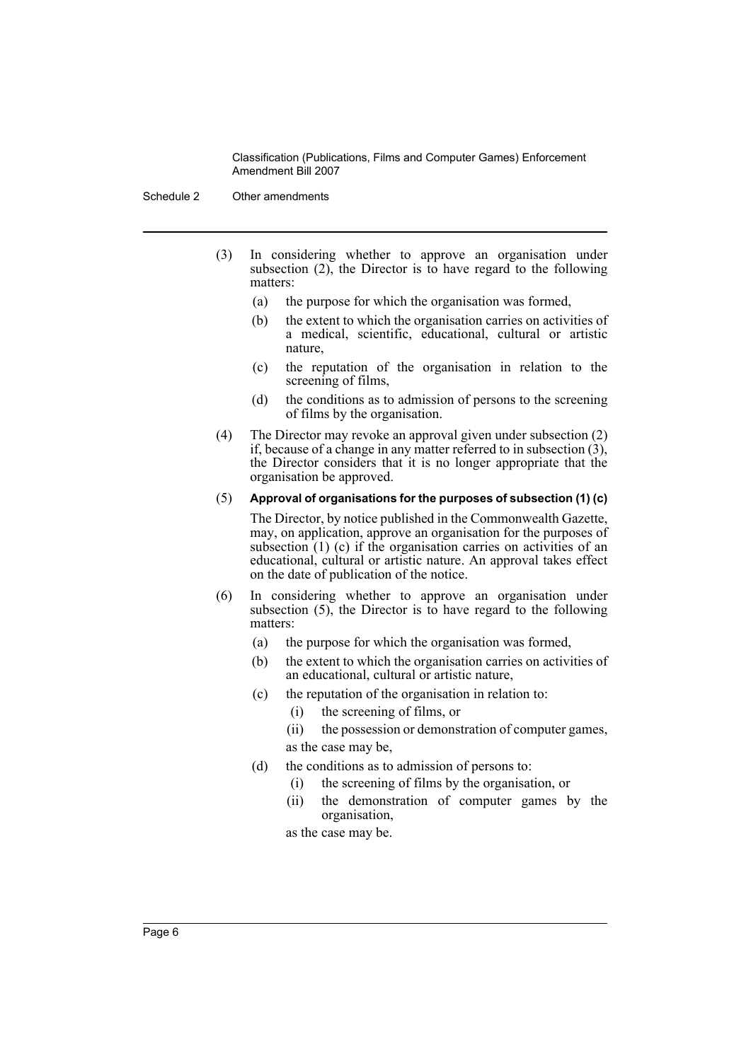Schedule 2 Other amendments

- (3) In considering whether to approve an organisation under subsection  $(2)$ , the Director is to have regard to the following matters:
	- (a) the purpose for which the organisation was formed,
	- (b) the extent to which the organisation carries on activities of a medical, scientific, educational, cultural or artistic nature,
	- (c) the reputation of the organisation in relation to the screening of films,
	- (d) the conditions as to admission of persons to the screening of films by the organisation.
- (4) The Director may revoke an approval given under subsection (2) if, because of a change in any matter referred to in subsection (3), the Director considers that it is no longer appropriate that the organisation be approved.
- (5) **Approval of organisations for the purposes of subsection (1) (c)**

The Director, by notice published in the Commonwealth Gazette, may, on application, approve an organisation for the purposes of subsection  $(1)$  (c) if the organisation carries on activities of an educational, cultural or artistic nature. An approval takes effect on the date of publication of the notice.

- (6) In considering whether to approve an organisation under subsection (5), the Director is to have regard to the following matters:
	- (a) the purpose for which the organisation was formed,
	- (b) the extent to which the organisation carries on activities of an educational, cultural or artistic nature,
	- (c) the reputation of the organisation in relation to:
		- (i) the screening of films, or
		- (ii) the possession or demonstration of computer games, as the case may be,
	- (d) the conditions as to admission of persons to:
		- (i) the screening of films by the organisation, or
		- (ii) the demonstration of computer games by the organisation,

as the case may be.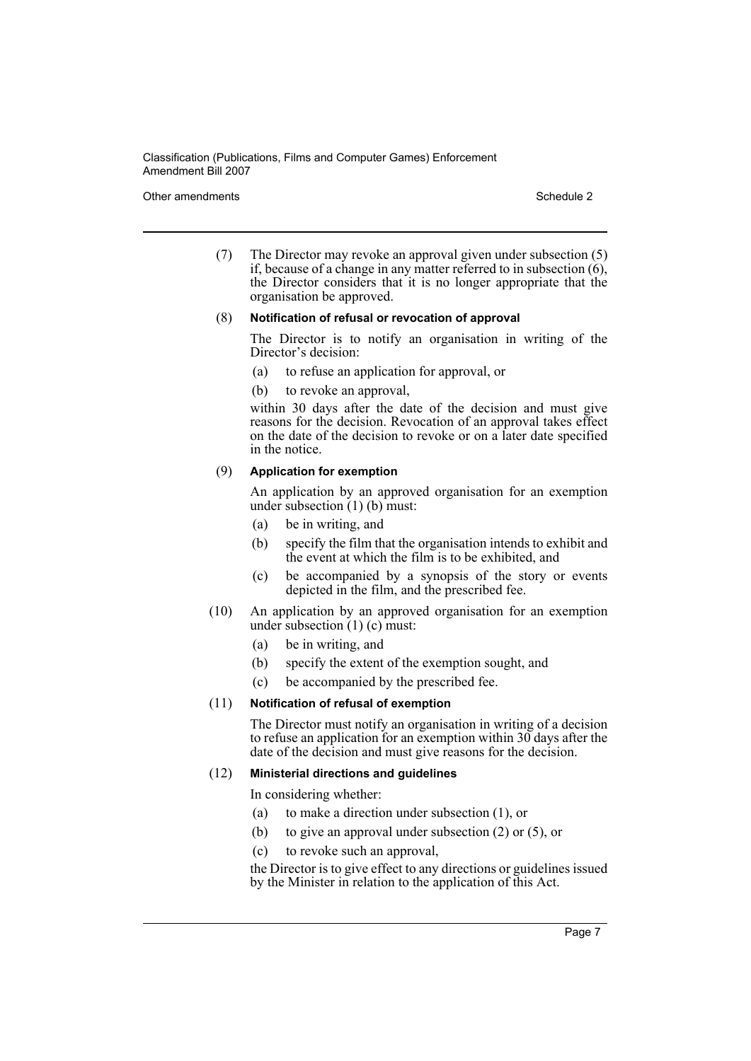#### Other amendments **Schedule 2** and the 2 state 3 and 2 state 3 and 3 state 3 and 3 state 3 and 3 state 3 and 3 state 3 and 3 state 3 and 3 state 3 and 3 state 3 and 3 state 3 and 3 state 3 and 3 state 3 and 3 state 3 and 3

(7) The Director may revoke an approval given under subsection (5) if, because of a change in any matter referred to in subsection  $(6)$ , the Director considers that it is no longer appropriate that the organisation be approved.

#### (8) **Notification of refusal or revocation of approval**

The Director is to notify an organisation in writing of the Director's decision:

(a) to refuse an application for approval, or

(b) to revoke an approval,

within 30 days after the date of the decision and must give reasons for the decision. Revocation of an approval takes effect on the date of the decision to revoke or on a later date specified in the notice.

#### (9) **Application for exemption**

An application by an approved organisation for an exemption under subsection (1) (b) must:

- (a) be in writing, and
- (b) specify the film that the organisation intends to exhibit and the event at which the film is to be exhibited, and
- (c) be accompanied by a synopsis of the story or events depicted in the film, and the prescribed fee.
- (10) An application by an approved organisation for an exemption under subsection (1) (c) must:
	- (a) be in writing, and
	- (b) specify the extent of the exemption sought, and
	- (c) be accompanied by the prescribed fee.

#### (11) **Notification of refusal of exemption**

The Director must notify an organisation in writing of a decision to refuse an application for an exemption within  $30$  days after the date of the decision and must give reasons for the decision.

#### (12) **Ministerial directions and guidelines**

In considering whether:

- (a) to make a direction under subsection (1), or
- (b) to give an approval under subsection (2) or (5), or
- (c) to revoke such an approval,

the Director is to give effect to any directions or guidelines issued by the Minister in relation to the application of this Act.